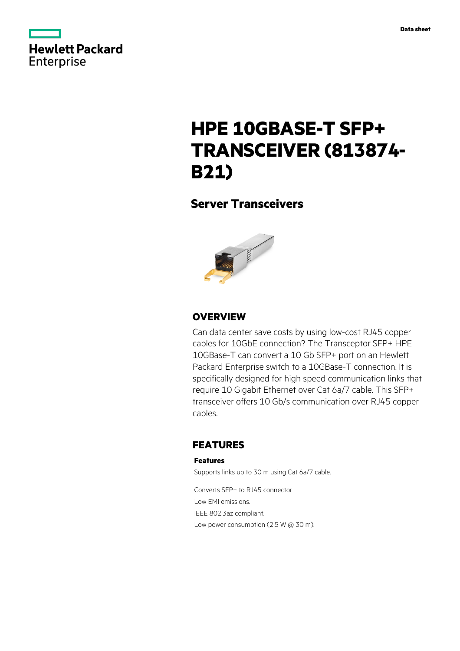

# **HPE 10GBASE-T SFP+ TRANSCEIVER (813874- B21)**

## **Server Transceivers**



## **OVERVIEW**

Can data center save costs by using low-cost RJ45 copper cables for 10GbE connection? The Transceptor SFP+ HPE 10GBase-T can convert a 10 Gb SFP+ port on an Hewlett Packard Enterprise switch to a 10GBase-T connection. It is specifically designed for high speed communication links that require 10 Gigabit Ethernet over Cat 6a/7 cable. This SFP+ transceiver offers 10 Gb/s communication over RJ45 copper cables.

## **FEATURES**

### **Features**

Supports links up to 30 m using Cat 6a/7 cable.

Converts SFP+ to RJ45 connector Low EMI emissions. IEEE 802.3az compliant. Low power consumption (2.5 W @ 30 m).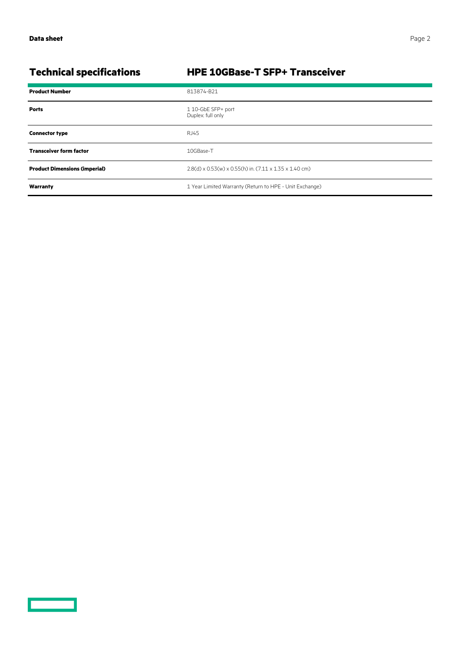$\overline{\phantom{0}}$ 

## **Technical specifications HPE 10GBase-T SFP+ Transceiver**

| <b>Product Number</b>                | 813874-B21                                                                             |
|--------------------------------------|----------------------------------------------------------------------------------------|
| <b>Ports</b>                         | 110-GbE SFP+ port<br>Duplex: full only                                                 |
| <b>Connector type</b>                | RJ45                                                                                   |
| <b>Transceiver form factor</b>       | 10GBase-T                                                                              |
| <b>Product Dimensions (imperial)</b> | $2.8(d) \times 0.53(w) \times 0.55(h)$ in. $(7.11 \times 1.35 \times 1.40 \text{ cm})$ |
| Warranty                             | 1 Year Limited Warranty (Return to HPE - Unit Exchange)                                |